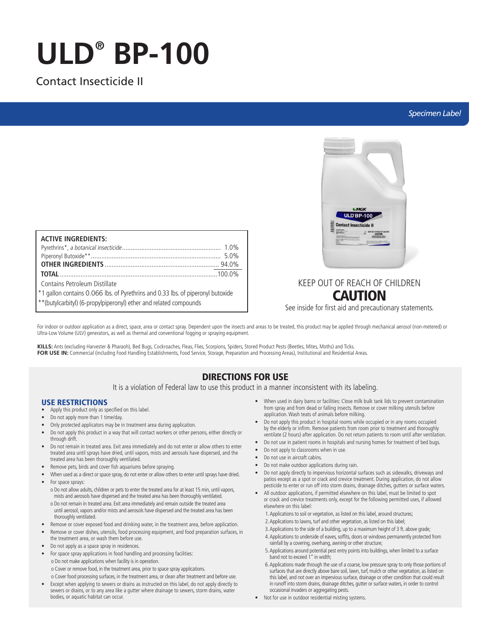# **ULD® BP-100**

# Contact Insecticide II

# *Specimen Label*

| <b>ACTIVE INGREDIENTS:</b>                                                      |  |
|---------------------------------------------------------------------------------|--|
|                                                                                 |  |
|                                                                                 |  |
|                                                                                 |  |
|                                                                                 |  |
| Contains Petroleum Distillate                                                   |  |
| *1 gallon contains 0.066 lbs. of Pyrethrins and 0.33 lbs. of piperonyl butoxide |  |
| ** (butylcarbityl) (6-propylpiperonyl) ether and related compounds              |  |



# KEEP OUT OF REACH OF CHILDREN CAUTION

See inside for first aid and precautionary statements.

For indoor or outdoor application as a direct, space, area or contact spray. Dependent upon the insects and areas to be treated, this product may be applied through mechanical aerosol (non-metered) or Ultra-Low Volume (ULV) generators, as well as thermal and conventional fogging or spraying equipment.

**KILLS:** Ants (excluding Harvester & Pharaoh), Bed Bugs, Cockroaches, Fleas, Flies, Scorpions, Spiders, Stored Product Pests (Beetles, Mites, Moths) and Ticks. FOR USE IN: Commercial (including Food Handling Establishments, Food Service, Storage, Preparation and Processing Areas), Institutional and Residential Areas.

# DIRECTIONS FOR USE

It is a violation of Federal law to use this product in a manner inconsistent with its labeling.

# USE RESTRICTIONS

- Apply this product only as specified on this label.
- Do not apply more than 1 time/day.
- Only protected applicators may be in treatment area during application.
- Do not apply this product in a way that will contact workers or other persons, either directly or through drift.
- Do not remain in treated area. Exit area immediately and do not enter or allow others to enter treated area until sprays have dried, until vapors, mists and aerosols have dispersed, and the treated area has been thoroughly ventilated.
- Remove pets, birds and cover fish aquariums before spraying.
- When used as a direct or space spray, do not enter or allow others to enter until sprays have dried. • For space sprays:
- o Do not allow adults, children or pets to enter the treated area for at least 15 min, until vapors, mists and aerosols have dispersed and the treated area has been thoroughly ventilated. o Do not remain in treated area. Exit area immediately and remain outside the treated area until aerosol, vapors and/or mists and aerosols have dispersed and the treated area has been thoroughly ventilated.
- Remove or cover exposed food and drinking water, in the treatment area, before application.
- Remove or cover dishes, utensils, food processing equipment, and food preparation surfaces, in the treatment area, or wash them before use.
- Do not apply as a space spray in residences.
- For space spray applications in food handling and processing facilities: o Do not make applications when facility is in operation.
	- o Cover or remove food, in the treatment area, prior to space spray applications.

o Cover food processing surfaces, in the treatment area, or clean after treatment and before use.

• Except when applying to sewers or drains as instructed on this label, do not apply directly to sewers or drains, or to any area like a gutter where drainage to sewers, storm drains, water bodies, or aquatic habitat can occur.

- When used in dairy barns or facilities: Close milk bulk tank lids to prevent contamination from spray and from dead or falling insects. Remove or cover milking utensils before application. Wash teats of animals before milking.
- Do not apply this product in hospital rooms while occupied or in any rooms occupied by the elderly or infirm. Remove patients from room prior to treatment and thoroughly ventilate (2 hours) after application. Do not return patients to room until after ventilation.
- Do not use in patient rooms in hospitals and nursing homes for treatment of bed bugs.
- Do not apply to classrooms when in use.
- Do not use in aircraft cabins.
- Do not make outdoor applications during rain.
- Do not apply directly to impervious horizontal surfaces such as sidewalks, driveways and patios except as a spot or crack and crevice treatment. During application, do not allow pesticide to enter or run off into storm drains, drainage ditches, gutters or surface waters.
- All outdoor applications, if permitted elsewhere on this label, must be limited to spot or crack and crevice treatments only, except for the following permitted uses, if allowed elsewhere on this label:
	- 1. Applications to soil or vegetation, as listed on this label, around structures;
	- 2. Applications to lawns, turf and other vegetation, as listed on this label;
	- 3. Applications to the side of a building, up to a maximum height of 3 ft. above grade;
	- 4. Applications to underside of eaves, soffits, doors or windows permanently protected from rainfall by a covering, overhang, awning or other structure;
	- 5. Applications around potential pest entry points into buildings, when limited to a surface band not to exceed 1" in width;
	- 6. Applications made through the use of a coarse, low pressure spray to only those portions of surfaces that are directly above bare soil, lawn, turf, mulch or other vegetation, as listed on this label, and not over an impervious surface, drainage or other condition that could result in runoff into storm drains, drainage ditches, gutter or surface waters, in order to control occasional invaders or aggregating pests.
- Not for use in outdoor residential misting systems.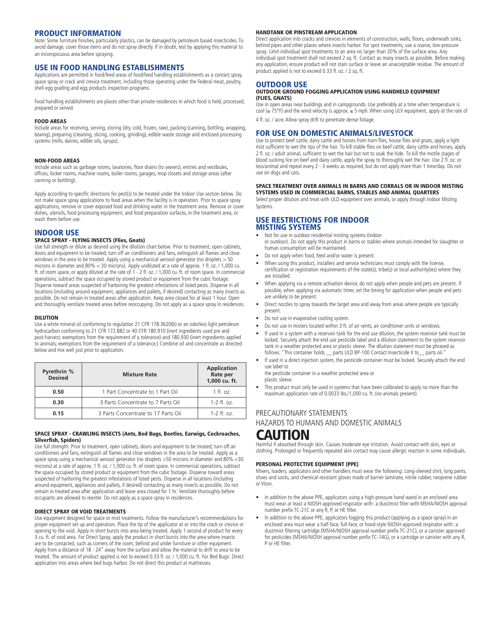# PRODUCT INFORMATION

Note: Some furniture finishes, particularly plastics, can be damaged by petroleum based insecticides. To avoid damage, cover those items and do not spray directly. If in doubt, test by applying this material to an inconspicuous area before spraying.

## USE IN FOOD HANDLING ESTABLISHMENTS

Applications are permitted in food/feed areas of food/feed handling establishments as a contact spray, space spray or crack and crevice treatment, including those operating under the Federal meat, poultry, shell egg grading and egg products inspection programs.

Food handling establishments are places other than private residences in which food is held, processed, prepared or served.

### FOOD AREAS

Include areas for receiving, serving, storing (dry, cold, frozen, raw), packing (canning, bottling, wrapping, boxing), preparing (cleaning, slicing, cooking, grinding), edible waste storage and enclosed processing systems (mills, dairies, edible oils, syrups).

### NON-FOOD AREAS

Include areas such as garbage rooms, lavatories, floor drains (to sewers), entries and vestibules, offices, locker rooms, machine rooms, boiler rooms, garages, mop closets and storage areas (after canning or bottling).

Apply according to specific directions for pest(s) to be treated under the Indoor Use section below. Do not make space spray applications to food areas when the facility is in operation. Prior to space spray applications, remove or cover exposed food and drinking water in the treatment area. Remove or cover dishes, utensils, food processing equipment, and food preparation surfaces, in the treatment area, or wash them before use.

## INDOOR USE

### SPACE SPRAY - FLYING INSECTS (Flies, Gnats)

Use full strength or dilute as desired using the dilution chart below. Prior to treatment, open cabinets, doors and equipment to be treated; turn off air conditioners and fans, extinguish all flames and close windows in the area to be treated. Apply using a mechanical aerosol generator (no droplets > 50 microns in diameter and 80% < 30 microns). Apply undiluted at a rate of approx. 1 fl. oz. / 1,000 cu. ft. of room space, or apply diluted at the rate of 1 - 2 fl. oz. / 1,000 cu. ft. of room space. In commercial operations, subtract the space occupied by stored product or equipment from the cubic footage. Disperse toward areas suspected of harboring the greatest infestations of listed pests. Disperse in all locations (including around equipment, appliances and pallets, if desired) contacting as many insects as possible. Do not remain in treated areas after application. Keep area closed for at least 1 hour. Open and thoroughly ventilate treated areas before reoccupying. Do not apply as a space spray in residences.

### DILUTION

Use a white mineral oil conforming to regulation 21 CFR 178.3620(b) or an odorless light petroleum hydrocarbon conforming to 21 CFR 172.882 or 40 CFR 180.910 (inert ingredients used pre and post-harvest; exemptions from the requirement of a tolerance) and 180.930 (inert ingredients applied to animals; exemptions from the requirement of a tolerance.) Combine oil and concentrate as directed below and mix well just prior to application.

| Pyrethrin %<br><b>Desired</b> | <b>Mixture Rate</b>                 | <b>Application</b><br>Rate per<br>1,000 cu. ft. |
|-------------------------------|-------------------------------------|-------------------------------------------------|
| 0.50                          | 1 Part Concentrate to 1 Part Oil    | $1$ fl. oz.                                     |
| 0.30                          | 3 Parts Concentrate to 7 Parts Oil  | $1 - 2$ fl. oz.                                 |
| 0.15                          | 3 Parts Concentrate to 17 Parts Oil | $1 - 2$ fl. oz.                                 |

### SPACE SPRAY - CRAWLING INSECTS (Ants, Bed Bugs, Beetles, Earwigs, Cockroaches, Silverfish, Spiders)

Use full strength. Prior to treatment, open cabinets, doors and equipment to be treated; turn off air conditioners and fans, extinguish all flames and close windows in the area to be treated. Apply as a space spray using a mechanical aerosol generator (no droplets >50 microns in diameter and 80% <30 microns) at a rate of approx. 1 fl. oz. / 1,000 cu. ft. of room space. In commercial operations, subtract the space occupied by stored product or equipment from the cubic footage. Disperse toward areas suspected of harboring the greatest infestations of listed pests. Disperse in all locations (including around equipment, appliances and pallets, if desired) contacting as many insects as possible. Do not remain in treated area after application and leave area closed for 1 hr. Ventilate thoroughly before occupants are allowed to reenter. Do not apply as a space spray in residences.

### DIRECT SPRAY OR VOID TREATMENTS

Use equipment designed for space or mist treatments. Follow the manufacturer's recommendations for proper equipment set up and operation. Place the tip of the applicator at or into the crack or crevice or opening to the void. Apply in short bursts into area being treated. Apply 1 second of product for every 3 cu. ft. of void area. For Direct Spray, apply the product in short bursts into the area where insects are to be contacted, such as corners of the room, behind and under furniture or other equipment. Apply from a distance of 18 - 24" away from the surface and allow the material to drift to area to be treated. The amount of product applied is not to exceed 0.33 fl. oz. / 1,000 cu. ft. For Bed Bugs: Direct application into areas where bed bugs harbor. Do not direct this product at mattresses.

### HANDTANK OR PINSTREAM APPLICATION

Direct application into cracks and crevices in elements of construction, walls, floors, underneath sinks, behind pipes and other places where insects harbor. For spot treatments, use a coarse, low-pressure spray. Limit individual spot treatments to an area no larger than 20% of the surface area. Any individual spot treatment shall not exceed 2 sq. ft. Contact as many insects as possible. Before making any application, ensure product will not stain surface or leave an unacceptable residue. The amount of product applied is not to exceed 0.33 fl. oz. / 2 sq. ft.

### OUTDOOR USE

### OUTDOOR GROUND FOGGING APPLICATION USING HANDHELD EQUIPMENT (FLIES, GNATS)

Use in open areas near buildings and in campgrounds. Use preferably at a time when temperature is cool (≤ 75°F) and the wind velocity is approx. ≤ 5 mph. When using ULV equipment, apply at the rate of 4 fl. oz. / acre. Allow spray drift to penetrate dense foliage.

### FOR USE ON DOMESTIC ANIMALS/LIVESTOCK

Use to protect beef cattle, dairy cattle and horses from horn flies, house flies and gnats, apply a light mist sufficient to wet the tips of the hair. To kill stable flies on beef cattle, dairy cattle and horses, apply 2 fl. oz. / adult animal, sufficient to wet the hair but not to soak the hide. To kill the motile stages of blood sucking lice on beef and dairy cattle, apply the spray to thoroughly wet the hair. Use 2 fl. oz. or less/animal and repeat every 2 - 3 weeks as required, but do not apply more than 1 time/day. Do not use on dogs and cats.

#### SPACE TREATMENT OVER ANIMALS IN BARNS AND CORRALS OR IN INDOOR MISTING SYSTEMS USED IN COMMERCIAL BARNS, STABLES AND ANIMAL QUARTERS

Select proper dilution and treat with ULD equipment over animals, or apply through Indoor Misting Systems.

### USE RESTRICTIONS FOR INDOOR MISTING SYSTEMS

- Not for use in outdoor residential misting systems (indoor or outdoor). Do not apply this product in barns or stables where animals intended for slaughter or human consumption will be maintained.
- Do not apply when food, feed and/or water is present.
- When using this product, installers and service technicians must comply with the license, certification or registration requirements of the state(s), tribe(s) or local authority(ies) where they are installed.
- When applying via a remote activation device, do not apply when people and pets are present. If possible, when applying via automatic timer, set the timing for application when people and pets are unlikely to be present.
- Direct nozzles to spray towards the target area and away from areas where people are typically present.
- Do not use in evaporative cooling system.
- Do not use in misters located within 3 ft. of air vents, air conditioner units or windows.
- If used in a system with a reservoir tank for the end use dilution, the system reservoir tank must be locked. Securely attach the end use pesticide label and a dilution statement to the system reservoir tank in a weather protected area or plastic sleeve. The dilution statement must be phrased as follows: "This container holds \_\_ parts ULD BP-100 Contact Insecticide II to\_\_ parts oil.
- If used in a direct injection system, the pesticide container must be locked. Securely attach the end use label to

the pesticide container in a weather protected area or plastic sleeve.

This product must only be used in systems that have been calibrated to apply no more than the maximum application rate of 0.0033 lbs./1,000 cu. ft. (no animals present).

# PRECAUTIONARY STATEMENTS HAZARDS TO HUMANS AND DOMESTIC ANIMALS CAUTION

# Harmful if absorbed through skin. Causes moderate eye irritation. Avoid contact with skin, eyes or

clothing. Prolonged or frequently repeated skin contact may cause allergic reaction in some individuals.

### PERSONAL PROTECTIVE EQUIPMENT (PPE)

Mixers, loaders, applicators and other handlers must wear the following: Long-sleeved shirt, long pants, shoes and socks, and chemical-resistant gloves made of barrier laminate, nitrile rubber, neoprene rubber or Viton.

- In addition to the above PPE, applicators using a high-pressure hand wand in an enclosed area must wear at least a NIOSH-approved respirator with: a dust/mist filter with MSHA/NIOSH approval number prefix TC-21C or any R, P, or HE filter.
- In addition to the above PPE, applicators fogging this product (applying as a space spray) in an enclosed area must wear a half-face, full-face, or hood-style NIOSH-approved respirator with: a dust/mist filtering cartridge (MSHA/NIOSH approval number prefix TC-21C), or a canister approved for pesticides (MSHA/NIOSH approval number prefix TC-14G), or a cartridge or canister with any R, P or HE filter.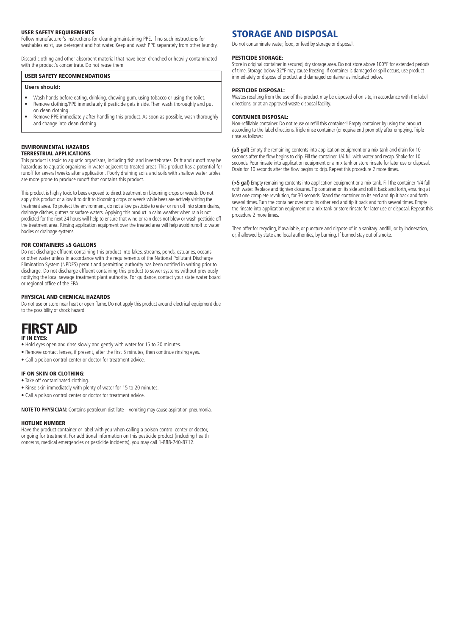### USER SAFETY REQUIREMENTS

Follow manufacturer's instructions for cleaning/maintaining PPE. If no such instructions for washables exist, use detergent and hot water. Keep and wash PPE separately from other laundry.

Discard clothing and other absorbent material that have been drenched or heavily contaminated with the product's concentrate. Do not reuse them.

### USER SAFETY RECOMMENDATIONS

### **Users should:**

- Wash hands before eating, drinking, chewing gum, using tobacco or using the toilet. • Remove clothing/PPE immediately if pesticide gets inside. Then wash thoroughly and put on clean clothing.
- Remove PPE immediately after handling this product. As soon as possible, wash thoroughly and change into clean clothing.

#### ENVIRONMENTAL HAZARDS TERRESTRIAL APPLICATIONS

This product is toxic to aquatic organisms, including fish and invertebrates. Drift and runoff may be hazardous to aquatic organisms in water adjacent to treated areas. This product has a potential for runoff for several weeks after application. Poorly draining soils and soils with shallow water tables are more prone to produce runoff that contains this product.

This product is highly toxic to bees exposed to direct treatment on blooming crops or weeds. Do not apply this product or allow it to drift to blooming crops or weeds while bees are actively visiting the treatment area. To protect the environment, do not allow pesticide to enter or run off into storm drains, drainage ditches, gutters or surface waters. Applying this product in calm weather when rain is not predicted for the next 24 hours will help to ensure that wind or rain does not blow or wash pesticide off the treatment area. Rinsing application equipment over the treated area will help avoid runoff to water bodies or drainage systems.

### FOR CONTAINERS ≥5 GALLONS

Do not discharge effluent containing this product into lakes, streams, ponds, estuaries, oceans or other water unless in accordance with the requirements of the National Pollutant Discharge Elimination System (NPDES) permit and permitting authority has been notified in writing prior to discharge. Do not discharge effluent containing this product to sewer systems without previously notifying the local sewage treatment plant authority. For guidance, contact your state water board or regional office of the EPA.

### PHYSICAL AND CHEMICAL HAZARDS

Do not use or store near heat or open flame. Do not apply this product around electrical equipment due to the possibility of shock hazard.

# FIRST AID

### IF IN EYES:

- Hold eyes open and rinse slowly and gently with water for 15 to 20 minutes.
- Remove contact lenses, if present, after the first 5 minutes, then continue rinsing eyes.
- Call a poison control center or doctor for treatment advice.

### IF ON SKIN OR CLOTHING:

- Take off contaminated clothing.
- Rinse skin immediately with plenty of water for 15 to 20 minutes.
- Call a poison control center or doctor for treatment advice.

**NOTE TO PHYSICIAN:** Contains petroleum distillate – vomiting may cause aspiration pneumonia.

#### HOTLINE NUMBER

Have the product container or label with you when calling a poison control center or doctor, or going for treatment. For additional information on this pesticide product (including health concerns, medical emergencies or pesticide incidents), you may call 1-888-740-8712.

# STORAGE AND DISPOSAL

Do not contaminate water, food, or feed by storage or disposal.

### PESTICIDE STORAGE:

Store in original container in secured, dry storage area. Do not store above 100°F for extended periods of time. Storage below 32°F may cause freezing. If container is damaged or spill occurs, use product immediately or dispose of product and damaged container as indicated below.

#### PESTICIDE DISPOSAL:

Wastes resulting from the use of this product may be disposed of on site, in accordance with the label directions, or at an approved waste disposal facility.

#### CONTAINER DISPOSAL:

Non-refillable container. Do not reuse or refill this container! Empty container by using the product according to the label directions. Triple rinse container (or equivalent) promptly after emptying. Triple rinse as follows:

**(**≤**5 gal)** Empty the remaining contents into application equipment or a mix tank and drain for 10 seconds after the flow begins to drip. Fill the container 1/4 full with water and recap. Shake for 10 seconds. Pour rinsate into application equipment or a mix tank or store rinsate for later use or disposal. Drain for 10 seconds after the flow begins to drip. Repeat this procedure 2 more times.

**(>5 gal)** Empty remaining contents into application equipment or a mix tank. Fill the container 1/4 full with water. Replace and tighten closures. Tip container on its side and roll it back and forth, ensuring at least one complete revolution, for 30 seconds. Stand the container on its end and tip it back and forth several times. Turn the container over onto its other end and tip it back and forth several times. Empty the rinsate into application equipment or a mix tank or store rinsate for later use or disposal. Repeat this procedure 2 more times.

Then offer for recycling, if available, or puncture and dispose of in a sanitary landfill, or by incineration, or, if allowed by state and local authorities, by burning. If burned stay out of smoke.